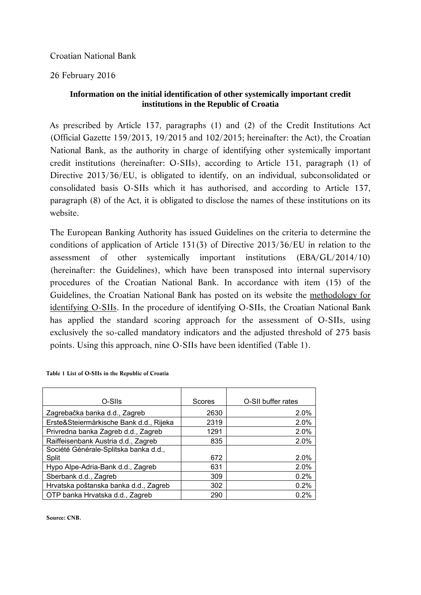Croatian National Bank

26 February 2016

## **Information on the initial identification of other systemically important credit institutions in the Republic of Croatia**

As prescribed by Article 137, paragraphs (1) and (2) of the Credit Institutions Act (Official Gazette 159/2013, 19/2015 and 102/2015; hereinafter: the Act), the Croatian National Bank, as the authority in charge of identifying other systemically important credit institutions (hereinafter: O-SIIs), according to Article 131, paragraph (1) of Directive 2013/36/EU, is obligated to identify, on an individual, subconsolidated or consolidated basis O-SIIs which it has authorised, and according to Article 137, paragraph (8) of the Act, it is obligated to disclose the names of these institutions on its website.

The European Banking Authority has issued Guidelines on the criteria to determine the conditions of application of Article 131(3) of Directive 2013/36/EU in relation to the assessment of other systemically important institutions (EBA/GL/2014/10) (hereinafter: the Guidelines), which have been transposed into internal supervisory procedures of the Croatian National Bank. In accordance with item (15) of the Guidelines, the Croatian National Bank has posted on its website the methodology for identifying O-SIIs. In the procedure of identifying O-SIIs, the Croatian National Bank has applied the standard scoring approach for the assessment of O-SIIs, using exclusively the so-called mandatory indicators and the adjusted threshold of 275 basis points. Using this approach, nine O-SIIs have been identified (Table 1).

| O-SIIs                                  | Scores | O-SII buffer rates |
|-----------------------------------------|--------|--------------------|
| Zagrebačka banka d.d., Zagreb           | 2630   | 2.0%               |
| Erste&Steiermärkische Bank d.d., Rijeka | 2319   | 2.0%               |
| Privredna banka Zagreb d.d., Zagreb     | 1291   | 2.0%               |
| Raiffeisenbank Austria d.d., Zagreb     | 835    | 2.0%               |
| Société Générale-Splitska banka d.d.,   |        |                    |
| Split                                   | 672    | 2.0%               |
| Hypo Alpe-Adria-Bank d.d., Zagreb       | 631    | 2.0%               |
| Sberbank d.d., Zagreb                   | 309    | 0.2%               |
| Hrvatska poštanska banka d.d., Zagreb   | 302    | 0.2%               |
| OTP banka Hrvatska d.d., Zagreb         | 290    | 0.2%               |

**Table 1 List of O-SIIs in the Republic of Croatia** 

**Source: CNB.**